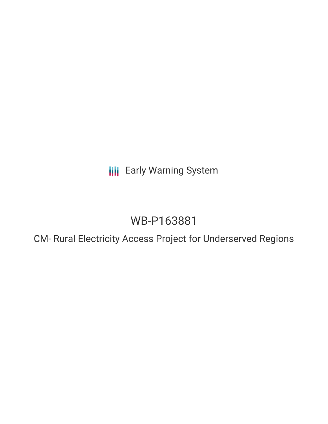**III** Early Warning System

# WB-P163881

CM- Rural Electricity Access Project for Underserved Regions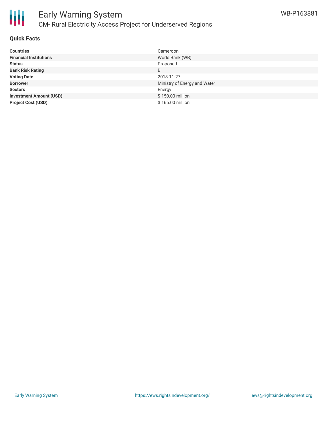

#### **Quick Facts**

| <b>Countries</b>               | Cameroon                     |
|--------------------------------|------------------------------|
| <b>Financial Institutions</b>  | World Bank (WB)              |
| <b>Status</b>                  | Proposed                     |
| <b>Bank Risk Rating</b>        | B                            |
| <b>Voting Date</b>             | 2018-11-27                   |
| <b>Borrower</b>                | Ministry of Energy and Water |
| <b>Sectors</b>                 | Energy                       |
| <b>Investment Amount (USD)</b> | \$150.00 million             |
| <b>Project Cost (USD)</b>      | \$165,00 million             |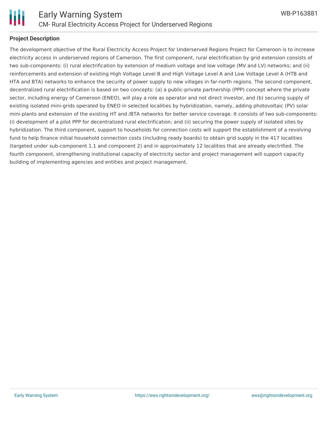

### **Project Description**

The development objective of the Rural Electricity Access Project for Underserved Regions Project for Cameroon is to increase electricity access in underserved regions of Cameroon. The first component, rural electrification by grid extension consists of two sub-components: (i) rural electrification by extension of medium voltage and low voltage (MV and LV) networks; and (ii) reinforcements and extension of existing High Voltage Level B and High Voltage Level A and Low Voltage Level A (HTB and HTA and BTA) networks to enhance the security of power supply to new villages in far-north regions. The second component, decentralized rural electrification is based on two concepts: (a) a public-private partnership (PPP) concept where the private sector, including energy of Cameroon (ENEO), will play a role as operator and not direct investor, and (b) securing supply of existing isolated mini-grids operated by ENEO in selected localities by hybridization, namely, adding photovoltaic (PV) solar mini-plants and extension of the existing HT and /BTA networks for better service coverage. It consists of two sub-components: (i) development of a pilot PPP for decentralized rural electrification; and (ii) securing the power supply of isolated sites by hybridization. The third component, support to households for connection costs will support the establishment of a revolving fund to help finance initial household connection costs (including ready boards) to obtain grid supply in the 417 localities (targeted under sub-component 1.1 and component 2) and in approximately 12 localities that are already electrified. The fourth component, strengthening institutional capacity of electricity sector and project management will support capacity building of implementing agencies and entities and project management.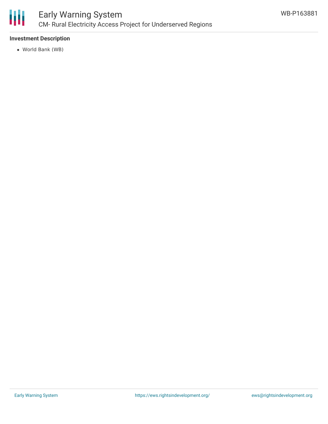

### **Investment Description**

World Bank (WB)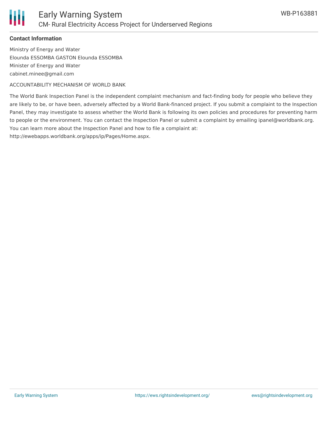

### **Contact Information**

Ministry of Energy and Water Elounda ESSOMBA GASTON Elounda ESSOMBA Minister of Energy and Water cabinet.minee@gmail.com

ACCOUNTABILITY MECHANISM OF WORLD BANK

The World Bank Inspection Panel is the independent complaint mechanism and fact-finding body for people who believe they are likely to be, or have been, adversely affected by a World Bank-financed project. If you submit a complaint to the Inspection Panel, they may investigate to assess whether the World Bank is following its own policies and procedures for preventing harm to people or the environment. You can contact the Inspection Panel or submit a complaint by emailing ipanel@worldbank.org. You can learn more about the Inspection Panel and how to file a complaint at:

http://ewebapps.worldbank.org/apps/ip/Pages/Home.aspx.